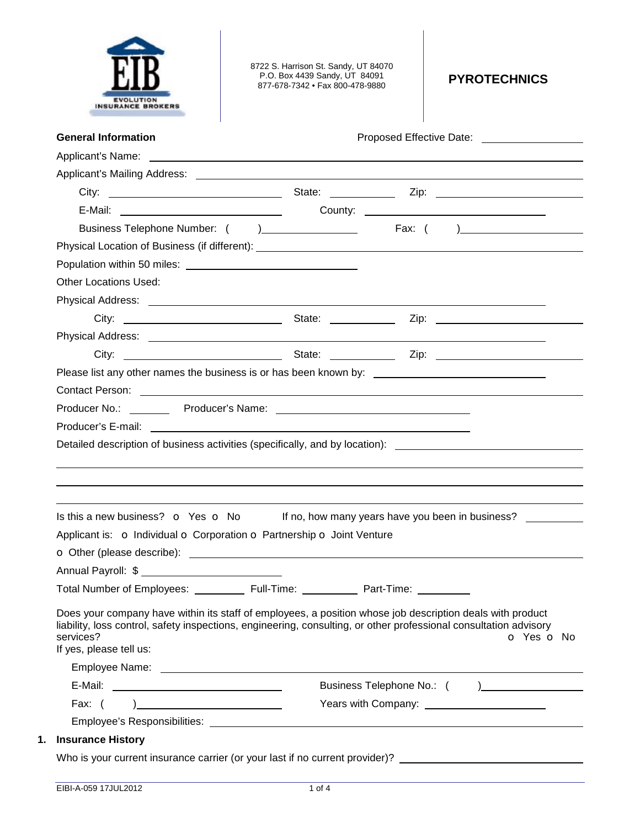

8722 S. Harrison St. Sandy, UT 84070 P.O. Box 4439 Sandy, UT 84091 877-678-7342 • Fax 800-478-9880 **PYROTECHNICS** 

| <b>General Information</b>                                                                                                                                                                                                                                             | Proposed Effective Date: National Assembly Proposed Effective Date: |            |
|------------------------------------------------------------------------------------------------------------------------------------------------------------------------------------------------------------------------------------------------------------------------|---------------------------------------------------------------------|------------|
|                                                                                                                                                                                                                                                                        |                                                                     |            |
|                                                                                                                                                                                                                                                                        |                                                                     |            |
|                                                                                                                                                                                                                                                                        |                                                                     |            |
|                                                                                                                                                                                                                                                                        |                                                                     |            |
|                                                                                                                                                                                                                                                                        |                                                                     |            |
|                                                                                                                                                                                                                                                                        |                                                                     |            |
|                                                                                                                                                                                                                                                                        |                                                                     |            |
| <b>Other Locations Used:</b>                                                                                                                                                                                                                                           |                                                                     |            |
|                                                                                                                                                                                                                                                                        |                                                                     |            |
|                                                                                                                                                                                                                                                                        |                                                                     |            |
|                                                                                                                                                                                                                                                                        |                                                                     |            |
|                                                                                                                                                                                                                                                                        |                                                                     |            |
| Please list any other names the business is or has been known by: __________________________________                                                                                                                                                                   |                                                                     |            |
|                                                                                                                                                                                                                                                                        |                                                                     |            |
|                                                                                                                                                                                                                                                                        |                                                                     |            |
| Detailed description of business activities (specifically, and by location): ________________________________                                                                                                                                                          |                                                                     |            |
|                                                                                                                                                                                                                                                                        |                                                                     |            |
| Is this a new business? $\bullet$ Yes $\bullet$ No If no, how many years have you been in business?                                                                                                                                                                    |                                                                     |            |
| Applicant is: o Individual o Corporation o Partnership o Joint Venture                                                                                                                                                                                                 |                                                                     |            |
|                                                                                                                                                                                                                                                                        |                                                                     |            |
|                                                                                                                                                                                                                                                                        |                                                                     |            |
| Annual Payroll: \$<br>Total Number of Employees: ___________ Full-Time:                                                                                                                                                                                                | Part-Time:                                                          |            |
| Does your company have within its staff of employees, a position whose job description deals with product<br>liability, loss control, safety inspections, engineering, consulting, or other professional consultation advisory<br>services?<br>If yes, please tell us: |                                                                     |            |
|                                                                                                                                                                                                                                                                        |                                                                     |            |
|                                                                                                                                                                                                                                                                        |                                                                     |            |
| Fax: $( )$                                                                                                                                                                                                                                                             | Years with Company: <u>______________________</u>                   | O Yes O No |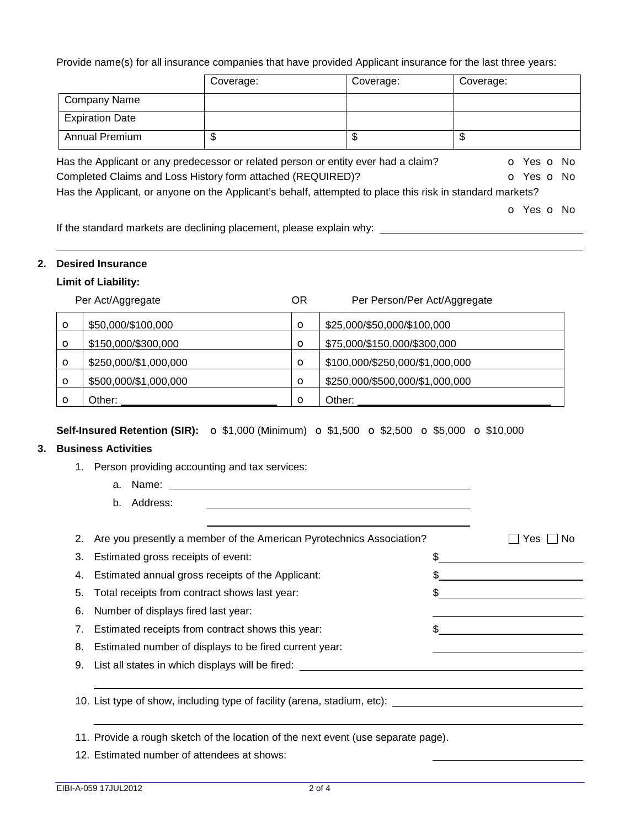Provide name(s) for all insurance companies that have provided Applicant insurance for the last three years:

|                        | Coverage:                                                   | Coverage:                                                                                                 | Coverage:  |
|------------------------|-------------------------------------------------------------|-----------------------------------------------------------------------------------------------------------|------------|
| <b>Company Name</b>    |                                                             |                                                                                                           |            |
| <b>Expiration Date</b> |                                                             |                                                                                                           |            |
| <b>Annual Premium</b>  | \$                                                          | \$                                                                                                        | \$         |
|                        |                                                             | Has the Applicant or any predecessor or related person or entity ever had a claim?                        | O Yes O No |
|                        | Completed Claims and Loss History form attached (REQUIRED)? |                                                                                                           | O Yes O No |
|                        |                                                             | Has the Applicant, or anyone on the Applicant's behalf, attempted to place this risk in standard markets? |            |
|                        |                                                             |                                                                                                           | O Yes O No |

If the standard markets are declining placement, please explain why:

## **2. Desired Insurance**

## **Limit of Liability:**

|         | Per Act/Aggregate     | <b>OR</b> | Per Person/Per Act/Aggregate    |
|---------|-----------------------|-----------|---------------------------------|
| $\circ$ | \$50,000/\$100,000    | $\circ$   | \$25,000/\$50,000/\$100,000     |
| $\circ$ | \$150,000/\$300,000   | O         | \$75,000/\$150,000/\$300,000    |
| $\circ$ | \$250,000/\$1,000,000 | $\circ$   | \$100,000/\$250,000/\$1,000,000 |
| $\circ$ | \$500,000/\$1,000,000 | $\circ$   | \$250,000/\$500,000/\$1,000,000 |
| $\circ$ | Other:                | Ω         | Other:                          |

**Self-Insured Retention (SIR):** o \$1,000 (Minimum) o \$1,500 o \$2,500 o \$5,000 o \$10,000

## **3. Business Activities**

1. Person providing accounting and tax services:

- a. Name:
- b. Address:

|    | 2. Are you presently a member of the American Pyrotechnics Association?          | No.<br>res. |
|----|----------------------------------------------------------------------------------|-------------|
| 3. | Estimated gross receipts of event:                                               |             |
| 4. | Estimated annual gross receipts of the Applicant:                                |             |
| 5. | Total receipts from contract shows last year:                                    |             |
| 6. | Number of displays fired last year:                                              |             |
| 7. | Estimated receipts from contract shows this year:                                |             |
| 8. | Estimated number of displays to be fired current year:                           |             |
| 9. | List all states in which displays will be fired:                                 |             |
|    |                                                                                  |             |
|    | 10. List type of show, including type of facility (arena, stadium, etc): _______ |             |
|    |                                                                                  |             |

11. Provide a rough sketch of the location of the next event (use separate page).

12. Estimated number of attendees at shows: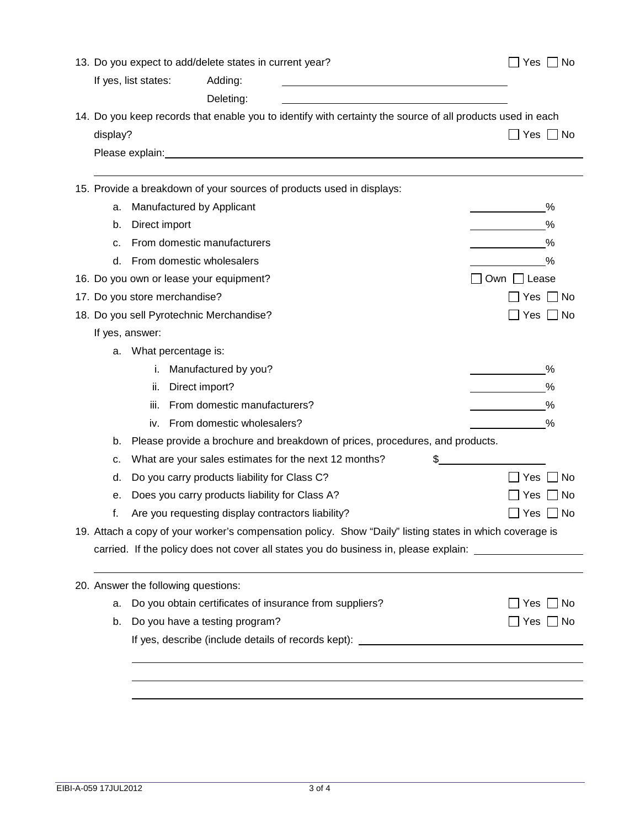|          |                                     | 13. Do you expect to add/delete states in current year? |                                                                                                                                                                                                                                | No<br>Yes                                                                            |
|----------|-------------------------------------|---------------------------------------------------------|--------------------------------------------------------------------------------------------------------------------------------------------------------------------------------------------------------------------------------|--------------------------------------------------------------------------------------|
|          | If yes, list states:                | Adding:                                                 |                                                                                                                                                                                                                                |                                                                                      |
|          |                                     | Deleting:                                               |                                                                                                                                                                                                                                |                                                                                      |
|          |                                     |                                                         | 14. Do you keep records that enable you to identify with certainty the source of all products used in each                                                                                                                     |                                                                                      |
| display? |                                     |                                                         |                                                                                                                                                                                                                                | ]Yes □ No                                                                            |
|          |                                     |                                                         | Please explain: Note and the set of the set of the set of the set of the set of the set of the set of the set of the set of the set of the set of the set of the set of the set of the set of the set of the set of the set of |                                                                                      |
|          |                                     |                                                         | 15. Provide a breakdown of your sources of products used in displays:                                                                                                                                                          |                                                                                      |
| a.       | Manufactured by Applicant           |                                                         |                                                                                                                                                                                                                                | %                                                                                    |
| b.       | Direct import                       |                                                         |                                                                                                                                                                                                                                | %                                                                                    |
| c.       |                                     | From domestic manufacturers                             |                                                                                                                                                                                                                                | %                                                                                    |
| d.       |                                     | From domestic wholesalers                               |                                                                                                                                                                                                                                | $\%$                                                                                 |
|          |                                     | 16. Do you own or lease your equipment?                 |                                                                                                                                                                                                                                | $\Box$ Lease<br>_l Own ⊺                                                             |
|          | 17. Do you store merchandise?       |                                                         |                                                                                                                                                                                                                                | No<br>Yes                                                                            |
|          |                                     | 18. Do you sell Pyrotechnic Merchandise?                |                                                                                                                                                                                                                                | Yes<br>  No                                                                          |
|          | If yes, answer:                     |                                                         |                                                                                                                                                                                                                                |                                                                                      |
| a.       | What percentage is:                 |                                                         |                                                                                                                                                                                                                                |                                                                                      |
|          | i.                                  | Manufactured by you?                                    |                                                                                                                                                                                                                                | $\%$                                                                                 |
|          | ii.                                 | Direct import?                                          |                                                                                                                                                                                                                                | %                                                                                    |
|          | iii.                                | From domestic manufacturers?                            |                                                                                                                                                                                                                                | %                                                                                    |
|          | iv.                                 | From domestic wholesalers?                              |                                                                                                                                                                                                                                | $\%$                                                                                 |
| b.       |                                     |                                                         | Please provide a brochure and breakdown of prices, procedures, and products.                                                                                                                                                   |                                                                                      |
| c.       |                                     | What are your sales estimates for the next 12 months?   |                                                                                                                                                                                                                                | \$                                                                                   |
| d.       |                                     | Do you carry products liability for Class C?            |                                                                                                                                                                                                                                | No<br>Yes                                                                            |
| е.       |                                     | Does you carry products liability for Class A?          |                                                                                                                                                                                                                                | No<br>Yes                                                                            |
| f.       |                                     | Are you requesting display contractors liability?       |                                                                                                                                                                                                                                | Yes<br>No                                                                            |
|          |                                     |                                                         | 19. Attach a copy of your worker's compensation policy. Show "Daily" listing states in which coverage is                                                                                                                       |                                                                                      |
|          |                                     |                                                         |                                                                                                                                                                                                                                | carried. If the policy does not cover all states you do business in, please explain: |
|          | 20. Answer the following questions: |                                                         |                                                                                                                                                                                                                                |                                                                                      |
| a.       |                                     | Do you obtain certificates of insurance from suppliers? |                                                                                                                                                                                                                                | Yes $\Box$ No                                                                        |
| b.       |                                     | Do you have a testing program?                          |                                                                                                                                                                                                                                | Yes $\Box$ No                                                                        |
|          |                                     |                                                         | If yes, describe (include details of records kept): _____________________________                                                                                                                                              |                                                                                      |
|          |                                     |                                                         |                                                                                                                                                                                                                                |                                                                                      |
|          |                                     |                                                         |                                                                                                                                                                                                                                |                                                                                      |
|          |                                     |                                                         |                                                                                                                                                                                                                                |                                                                                      |